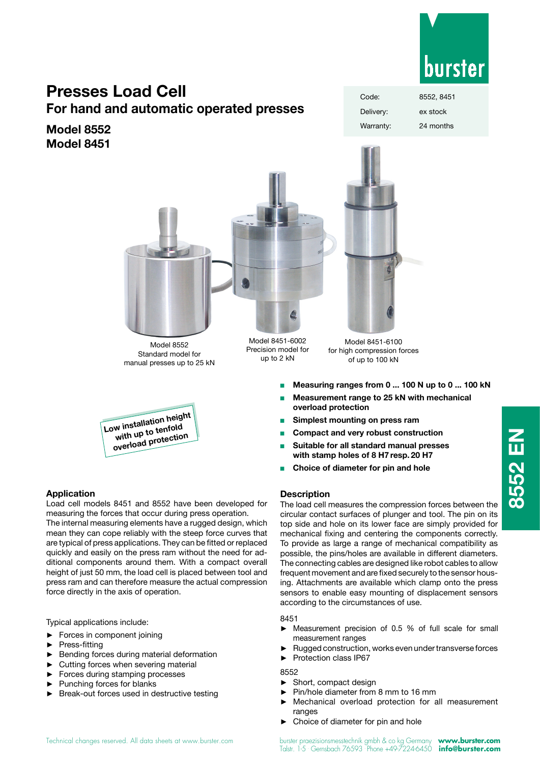

# **Presses Load Cell**

**For hand and automatic operated presses**

**Model 8552 Model 8451**



Model 8552 Standard model for manual presses up to 25 kN



# **Application**

Load cell models 8451 and 8552 have been developed for measuring the forces that occur during press operation.

The internal measuring elements have a rugged design, which mean they can cope reliably with the steep force curves that are typical of press applications. They can be fitted or replaced quickly and easily on the press ram without the need for additional components around them. With a compact overall height of just 50 mm, the load cell is placed between tool and press ram and can therefore measure the actual compression force directly in the axis of operation.

Typical applications include:

- Forces in component joining
- ► Press-fitting
- Bending forces during material deformation
- Cutting forces when severing material
- ► Forces during stamping processes
- ► Punching forces for blanks
- Break-out forces used in destructive testing

Model 8451-6002 Precision model for up to 2 kN

Model 8451-6100 for high compression forces of up to 100 kN

- Measuring ranges from 0 ... 100 N up to 0 ... 100 kN
- <sup>n</sup> **Measurement range to 25 kN with mechanical overload protection**
- **Simplest mounting on press ram**
- **Compact and very robust construction**
- <sup>n</sup> **Suitable for all standard manual presses with stamp holes of 8 H7 resp. 20 H7**
- **Choice of diameter for pin and hole**

# **Description**

The load cell measures the compression forces between the circular contact surfaces of plunger and tool. The pin on its top side and hole on its lower face are simply provided for mechanical fixing and centering the components correctly. To provide as large a range of mechanical compatibility as possible, the pins/holes are available in different diameters. The connecting cables are designed like robot cables to allow frequent movement and are fixed securely to the sensor housing. Attachments are available which clamp onto the press sensors to enable easy mounting of displacement sensors according to the circumstances of use.

# 8451

- ► Measurement precision of 0.5 % of full scale for small measurement ranges
- Rugged construction, works even under transverse forces
- ► Protection class IP67

# 8552

- ► Short, compact design
- Pin/hole diameter from 8 mm to 16 mm
- ► Mechanical overload protection for all measurement ranges
- Choice of diameter for pin and hole

**8552 EN**

8552 EN

Code: 8552, 8451 Delivery: ex stock Warranty: 24 months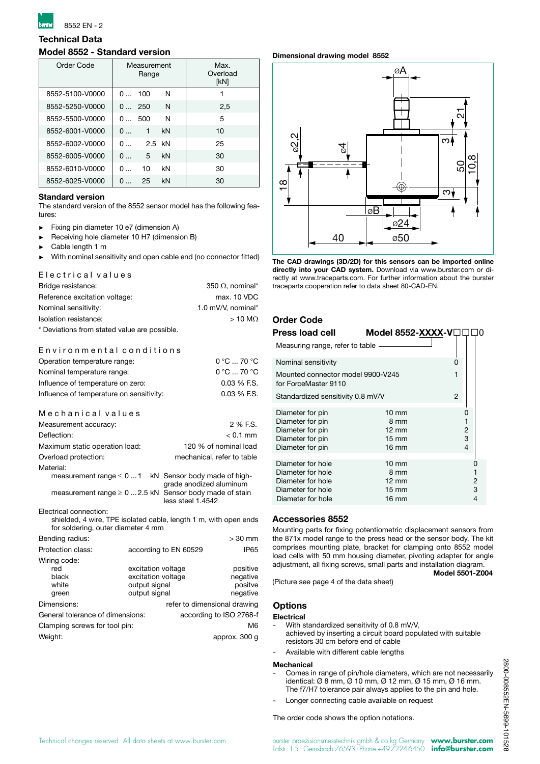

# **Technical Data**

# **Model 8552 - Standard version**

| Order Code      |                    | Measurement<br>Range |    | Max.<br>Overload<br>[kN] |
|-----------------|--------------------|----------------------|----|--------------------------|
| 8552-5100-V0000 | $\Omega$           | - 100                | N  |                          |
| 8552-5250-V0000 | 0250               |                      | N  | 2,5                      |
| 8552-5500-V0000 | 0500               |                      | N  | 5                        |
| 8552-6001-V0000 | 0                  | 1                    | kN | 10                       |
| 8552-6002-V0000 | 0                  | 2.5 kN               |    | 25                       |
| 8552-6005-V0000 | 0                  | 5                    | kN | 30                       |
| 8552-6010-V0000 | 0                  | 10                   | kN | 30                       |
| 8552-6025-V0000 | $\Omega$<br>$\sim$ | 25                   | kN | 30                       |

## **Standard version**

The standard version of the 8552 sensor model has the following features:

- ► Fixing pin diameter 10 e7 (dimension A)
- ► Receiving hole diameter 10 H7 (dimension B)
- ► Cable length 1 m
- With nominal sensitivity and open cable end (no connector fitted)

### E lectrical values

| Bridge resistance:                           | 350 $\Omega$ , nominal* |
|----------------------------------------------|-------------------------|
| Reference excitation voltage:                | max. 10 VDC             |
| Nominal sensitivity:                         | 1.0 mV/V, nominal*      |
| Isolation resistance:                        | $>10$ M $\Omega$        |
| * Deviations from stated value are possible. |                         |

## Environmental conditions

| Operation temperature range:                                                               | $0^{\circ}$ C  70 $^{\circ}$ C                          |
|--------------------------------------------------------------------------------------------|---------------------------------------------------------|
| Nominal temperature range:                                                                 | 0 °C  70 °C                                             |
| Influence of temperature on zero:                                                          | $0.03\%$ F.S.                                           |
| Influence of temperature on sensitivity:                                                   | $0.03\%$ F.S.                                           |
| Mechanical values                                                                          |                                                         |
| Measurement accuracy:                                                                      | 2 % F.S.                                                |
| Deflection:                                                                                | $< 0.1$ mm                                              |
| Maximum static operation load:                                                             | 120 % of nominal load                                   |
| Overload protection:                                                                       | mechanical, refer to table                              |
| Material:                                                                                  |                                                         |
| measurement range $\leq 01$                                                                | kN Sensor body made of high-<br>grade anodized aluminum |
| measurement range $\geq 0$ 2.5 kN Sensor body made of stain                                | less steel 1.4542                                       |
| Electrical connection:<br>shielded, 4 wire, TPE isolated cable, length 1 m, with open ends |                                                         |

| for soldering, outer diameter 4 mm             |                                |                                          |                                             |
|------------------------------------------------|--------------------------------|------------------------------------------|---------------------------------------------|
| Bending radius:                                |                                |                                          | $>30$ mm                                    |
| Protection class:                              |                                | according to EN 60529                    | <b>IP65</b>                                 |
| Wiring code:<br>red<br>black<br>white<br>green | output signal<br>output signal | excitation voltage<br>excitation voltage | positive<br>negative<br>positve<br>negative |
| Dimensions:                                    |                                | refer to dimensional drawing             |                                             |
| General tolerance of dimensions:               |                                |                                          | according to ISO 2768-f                     |
| Clamping screws for tool pin:                  |                                |                                          | M <sub>6</sub>                              |
| Weight:                                        |                                |                                          | approx. 300 q                               |

## **Dimensional drawing model 8552**



**The CAD drawings (3D/2D) for this sensors can be imported online directly into your CAD system.** Download via www.burster.com or directly at www.traceparts.com. For further information about the burster traceparts cooperation refer to data sheet 80-CAD-EN.

# **Order Code**

| Press load cell                                           | Model 8552-XXXX-V□I |                |
|-----------------------------------------------------------|---------------------|----------------|
| Measuring range, refer to table.                          |                     |                |
| Nominal sensitivity                                       |                     | ი              |
| Mounted connector model 9900-V245<br>for ForceMaster 9110 |                     | 1              |
| Standardized sensitivity 0.8 mV/V                         |                     | $\overline{2}$ |
| Diameter for pin                                          | $10 \text{ mm}$     | 0              |
| Diameter for pin                                          | 8 mm                | 1              |
| Diameter for pin                                          | $12 \text{ mm}$     | 2              |
| Diameter for pin                                          | $15 \text{ mm}$     | 3              |
| Diameter for pin                                          | $16 \text{ mm}$     | $\overline{4}$ |
|                                                           |                     |                |
| Diameter for hole                                         | $10 \text{ mm}$     |                |
| Diameter for hole                                         | 8 mm                |                |
| Diameter for hole                                         | $12 \text{ mm}$     | 2              |
| Diameter for hole                                         | 15 mm               | 3              |
| Diameter for hole                                         | 16 mm               | 4              |

## **Accessories 8552**

Mounting parts for fixing potentiometric displacement sensors from the 871x model range to the press head or the sensor body. The kit comprises mounting plate, bracket for clamping onto 8552 model load cells with 50 mm housing diameter, pivoting adapter for angle adjustment, all fixing screws, small parts and installation diagram.

(Picture see page 4 of the data sheet)

# **Model 5501-Z004**

# **Options**

- **Electrical**
	- With standardized sensitivity of 0.8 mV/V, achieved by inserting a circuit board populated with suitable resistors 30 cm before end of cable
	- Available with different cable lengths

## **Mechanical**

- Comes in range of pin/hole diameters, which are not necessarily identical: Ø 8 mm, Ø 10 mm, Ø 12 mm, Ø 15 mm, Ø 16 mm. The f7/H7 tolerance pair always applies to the pin and hole.
- Longer connecting cable available on request

#### The order code shows the option notations.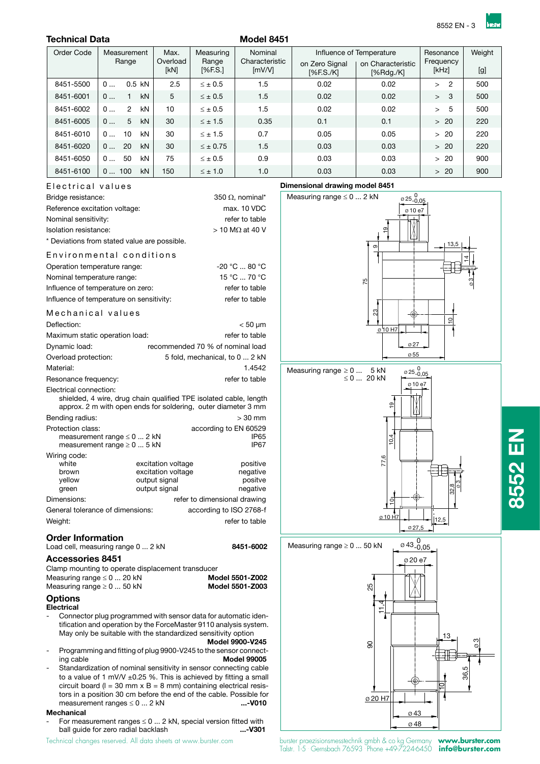# **Technical Data** Model 8451

| Order Code | Measurement               | Max.             | Measuring        | Nominal                          |                             | Influence of Temperature       | Resonance                | Weight |
|------------|---------------------------|------------------|------------------|----------------------------------|-----------------------------|--------------------------------|--------------------------|--------|
|            | Range                     | Overload<br>[kN] | Range<br>[%F.S.] | Characteristic<br>$\text{Im}V/V$ | on Zero Signal<br>[%F.S./K] | on Characteristic<br>[%Rdq./K] | Frequency<br>[kHz]       | [g]    |
| 8451-5500  | $0.5$ kN<br>0             | 2.5              | $\leq$ $\pm$ 0.5 | 1.5                              | 0.02                        | 0.02                           | $\overline{2}$<br>$\geq$ | 500    |
| 8451-6001  | kN<br>0<br>1              | 5                | $< \pm 0.5$      | 1.5                              | 0.02                        | 0.02                           | 3<br>$\geq$              | 500    |
| 8451-6002  | kN<br>$\mathfrak{p}$<br>0 | 10               | $\leq$ $\pm$ 0.5 | 1.5                              | 0.02                        | 0.02                           | 5<br>$\geq$              | 500    |
| 8451-6005  | 5<br>kN<br>0              | 30               | $\leq \pm 1.5$   | 0.35                             | 0.1                         | 0.1                            | $>20$                    | 220    |
| 8451-6010  | kN<br>10<br>0             | 30               | $<$ $\pm$ 1.5    | 0.7                              | 0.05                        | 0.05                           | > 20                     | 220    |
| 8451-6020  | 20<br>kN<br>0             | 30               | $<$ $\pm$ 0.75   | 1.5                              | 0.03                        | 0.03                           | $>20$                    | 220    |
| 8451-6050  | 50<br><b>kN</b><br>0      | 75               | $\leq$ $\pm$ 0.5 | 0.9                              | 0.03                        | 0.03                           | $>20$                    | 900    |
| 8451-6100  | kN<br>100<br>0            | 150              | $< \pm 1.0$      | 1.0                              | 0.03                        | 0.03                           | $>20$                    | 900    |

Electrical values

| 350 $\Omega$ , nominal*   |
|---------------------------|
| max. 10 VDC               |
| refer to table            |
| $>$ 10 M $\Omega$ at 40 V |
|                           |
|                           |
| -20 °C  80 °C             |
| 15 °C  70 °C              |
| refer to table            |
| refer to table            |
|                           |
|                           |

| Deflection:                                                                                                                        |                                     | $< 50 \mu m$                          |
|------------------------------------------------------------------------------------------------------------------------------------|-------------------------------------|---------------------------------------|
| Maximum static operation load:                                                                                                     |                                     | refer to table                        |
| Dynamic load:                                                                                                                      |                                     | recommended 70 % of nominal load      |
| Overload protection:                                                                                                               |                                     | 5 fold, mechanical, to 0  2 kN        |
| Material:                                                                                                                          |                                     | 1.4542                                |
| Resonance frequency:                                                                                                               |                                     | refer to table                        |
| Electrical connection:                                                                                                             |                                     |                                       |
| shielded, 4 wire, drug chain qualified TPE isolated cable, length<br>approx. 2 m with open ends for soldering, outer diameter 3 mm |                                     |                                       |
| Bending radius:                                                                                                                    |                                     | $>30$ mm                              |
| Protection class:<br>measurement range $\leq 0$ 2 kN<br>measurement range $\geq 0$ 5 kN                                            |                                     | according to EN 60529<br>IP65<br>IP67 |
| Wiring code:                                                                                                                       |                                     |                                       |
| white                                                                                                                              | excitation voltage                  | positive                              |
| brown<br>vellow                                                                                                                    | excitation voltage<br>output signal | negative<br>positve                   |
| green                                                                                                                              | output signal                       | negative                              |
| Dimensions:                                                                                                                        |                                     | refer to dimensional drawing          |
| General tolerance of dimensions:                                                                                                   |                                     | according to ISO 2768-f               |
| Weight:                                                                                                                            |                                     | refer to table                        |
|                                                                                                                                    |                                     |                                       |

# **Order Information**

| Load cell, measuring range 0  2 kN                | 8451-6002 |
|---------------------------------------------------|-----------|
| <b>Accessories 8451</b>                           |           |
| Clamp mounting to operate displacement transducer |           |

| Clarity modificing to operate displacement transactor |                 |
|-------------------------------------------------------|-----------------|
| Measuring range $\leq 0$ 20 kN                        | Model 5501-Z002 |
| Measuring range $\geq 0 \dots 50$ kN                  | Model 5501-Z003 |
|                                                       |                 |

#### **Options Electrical**

- Connector plug programmed with sensor data for automatic identification and operation by the ForceMaster 9110 analysis system. May only be suitable with the standardized sensitivity option **Model 9900-V245**
- Programming and fitting of plug 9900-V245 to the sensor connect-<br>ing cable **Model 99005 Model 99005**
- Standardization of nominal sensitivity in sensor connecting cable to a value of 1 mV/V  $\pm$ 0.25 %. This is achieved by fitting a small circuit board ( $l = 30$  mm  $x B = 8$  mm) containing electrical resistors in a position 30 cm before the end of the cable. Possible for measurement ranges  $\leq 0 ... 2$  kN ... - V010 measurement ranges  $\leq 0$  ... 2 kN

## **Mechanical**

For measurement ranges  $\leq 0$  ... 2 kN, special version fitted with ball guide for zero radial backlash ...- V301 ball guide for zero radial backlash





Technical changes reserved. All data sheets at www.burster.com burster praezisionsmesstechnik gmbh & co kg Germany **www.burster.com** Talstr. 1-5 . Gernsbach 76593 . Phone +49-7224-6450 **info@burster.com**

**8552 EN**

8552 EN